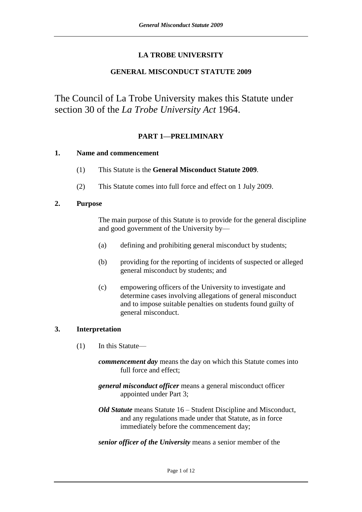# **LA TROBE UNIVERSITY**

# **GENERAL MISCONDUCT STATUTE 2009**

The Council of La Trobe University makes this Statute under section 30 of the *La Trobe University Act* 1964.

# **PART 1—PRELIMINARY**

#### **1. Name and commencement**

- (1) This Statute is the **General Misconduct Statute 2009**.
- (2) This Statute comes into full force and effect on 1 July 2009.

#### **2. Purpose**

The main purpose of this Statute is to provide for the general discipline and good government of the University by—

- (a) defining and prohibiting general misconduct by students;
- (b) providing for the reporting of incidents of suspected or alleged general misconduct by students; and
- (c) empowering officers of the University to investigate and determine cases involving allegations of general misconduct and to impose suitable penalties on students found guilty of general misconduct.

# **3. Interpretation**

- (1) In this Statute
	- *commencement day* means the day on which this Statute comes into full force and effect;
	- *general misconduct officer* means a general misconduct officer appointed under Part 3;
	- *Old Statute* means Statute 16 Student Discipline and Misconduct, and any regulations made under that Statute, as in force immediately before the commencement day;
	- *senior officer of the University* means a senior member of the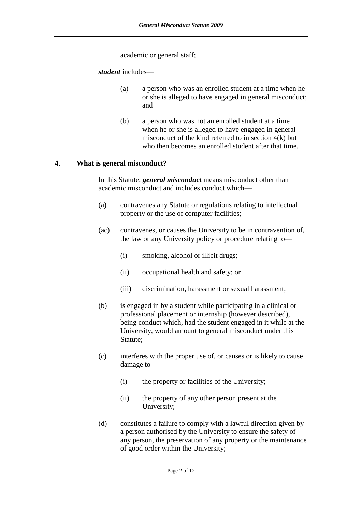academic or general staff;

*student* includes—

- (a) a person who was an enrolled student at a time when he or she is alleged to have engaged in general misconduct; and
- (b) a person who was not an enrolled student at a time when he or she is alleged to have engaged in general misconduct of the kind referred to in section 4(k) but who then becomes an enrolled student after that time.

#### **4. What is general misconduct?**

In this Statute, *general misconduct* means misconduct other than academic misconduct and includes conduct which—

- (a) contravenes any Statute or regulations relating to intellectual property or the use of computer facilities;
- (ac) contravenes, or causes the University to be in contravention of, the law or any University policy or procedure relating to—
	- (i) smoking, alcohol or illicit drugs;
	- (ii) occupational health and safety; or
	- (iii) discrimination, harassment or sexual harassment;
- (b) is engaged in by a student while participating in a clinical or professional placement or internship (however described), being conduct which, had the student engaged in it while at the University, would amount to general misconduct under this Statute;
- (c) interferes with the proper use of, or causes or is likely to cause damage to—
	- (i) the property or facilities of the University;
	- (ii) the property of any other person present at the University;
- (d) constitutes a failure to comply with a lawful direction given by a person authorised by the University to ensure the safety of any person, the preservation of any property or the maintenance of good order within the University;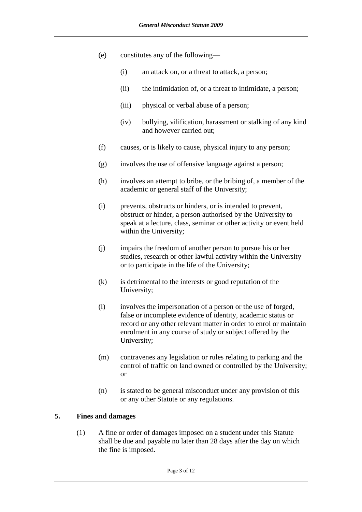- (e) constitutes any of the following—
	- (i) an attack on, or a threat to attack, a person;
	- (ii) the intimidation of, or a threat to intimidate, a person;
	- (iii) physical or verbal abuse of a person;
	- (iv) bullying, vilification, harassment or stalking of any kind and however carried out;
- (f) causes, or is likely to cause, physical injury to any person;
- (g) involves the use of offensive language against a person;
- (h) involves an attempt to bribe, or the bribing of, a member of the academic or general staff of the University;
- (i) prevents, obstructs or hinders, or is intended to prevent, obstruct or hinder, a person authorised by the University to speak at a lecture, class, seminar or other activity or event held within the University;
- (j) impairs the freedom of another person to pursue his or her studies, research or other lawful activity within the University or to participate in the life of the University;
- (k) is detrimental to the interests or good reputation of the University;
- (l) involves the impersonation of a person or the use of forged, false or incomplete evidence of identity, academic status or record or any other relevant matter in order to enrol or maintain enrolment in any course of study or subject offered by the University;
- (m) contravenes any legislation or rules relating to parking and the control of traffic on land owned or controlled by the University; or
- (n) is stated to be general misconduct under any provision of this or any other Statute or any regulations.

# **5. Fines and damages**

(1) A fine or order of damages imposed on a student under this Statute shall be due and payable no later than 28 days after the day on which the fine is imposed.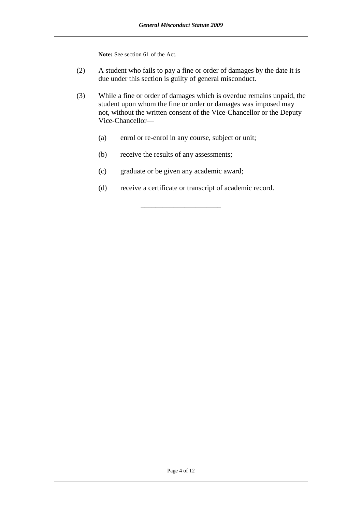**Note:** See section 61 of the Act.

- (2) A student who fails to pay a fine or order of damages by the date it is due under this section is guilty of general misconduct.
- (3) While a fine or order of damages which is overdue remains unpaid, the student upon whom the fine or order or damages was imposed may not, without the written consent of the Vice-Chancellor or the Deputy Vice-Chancellor—
	- (a) enrol or re-enrol in any course, subject or unit;
	- (b) receive the results of any assessments;
	- (c) graduate or be given any academic award;
	- (d) receive a certificate or transcript of academic record.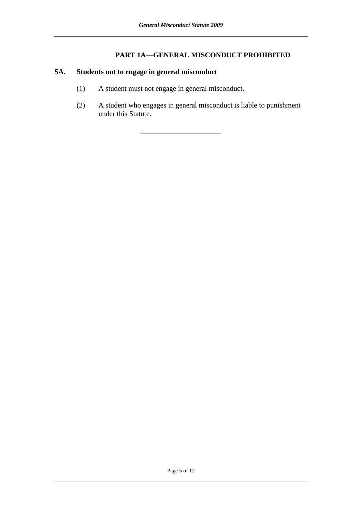# **PART 1A—GENERAL MISCONDUCT PROHIBITED**

# **5A. Students not to engage in general misconduct**

- (1) A student must not engage in general misconduct.
- (2) A student who engages in general misconduct is liable to punishment under this Statute.

**\_\_\_\_\_\_\_\_\_\_\_\_\_\_\_\_\_\_\_\_\_\_**

Page 5 of 12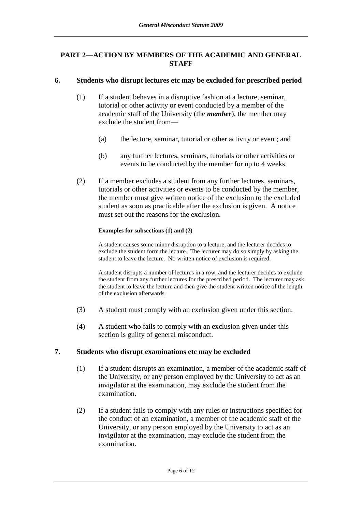# **PART 2—ACTION BY MEMBERS OF THE ACADEMIC AND GENERAL STAFF**

### **6. Students who disrupt lectures etc may be excluded for prescribed period**

- (1) If a student behaves in a disruptive fashion at a lecture, seminar, tutorial or other activity or event conducted by a member of the academic staff of the University (the *member*), the member may exclude the student from—
	- (a) the lecture, seminar, tutorial or other activity or event; and
	- (b) any further lectures, seminars, tutorials or other activities or events to be conducted by the member for up to 4 weeks.
- (2) If a member excludes a student from any further lectures, seminars, tutorials or other activities or events to be conducted by the member, the member must give written notice of the exclusion to the excluded student as soon as practicable after the exclusion is given. A notice must set out the reasons for the exclusion.

#### **Examples for subsections (1) and (2)**

A student causes some minor disruption to a lecture, and the lecturer decides to exclude the student form the lecture. The lecturer may do so simply by asking the student to leave the lecture. No written notice of exclusion is required.

A student disrupts a number of lectures in a row, and the lecturer decides to exclude the student from any further lectures for the prescribed period. The lecturer may ask the student to leave the lecture and then give the student written notice of the length of the exclusion afterwards.

- (3) A student must comply with an exclusion given under this section.
- (4) A student who fails to comply with an exclusion given under this section is guilty of general misconduct.

#### **7. Students who disrupt examinations etc may be excluded**

- (1) If a student disrupts an examination, a member of the academic staff of the University, or any person employed by the University to act as an invigilator at the examination, may exclude the student from the examination.
- (2) If a student fails to comply with any rules or instructions specified for the conduct of an examination, a member of the academic staff of the University, or any person employed by the University to act as an invigilator at the examination, may exclude the student from the examination.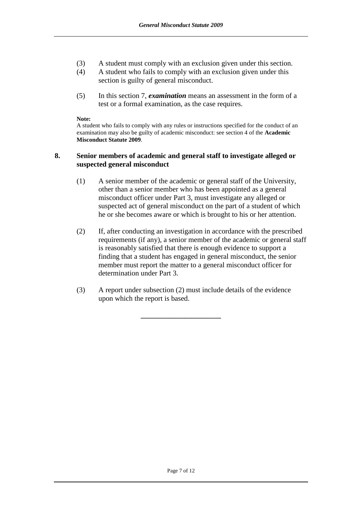- (3) A student must comply with an exclusion given under this section.
- (4) A student who fails to comply with an exclusion given under this section is guilty of general misconduct.
- (5) In this section 7, *examination* means an assessment in the form of a test or a formal examination, as the case requires.

#### **Note:**

A student who fails to comply with any rules or instructions specified for the conduct of an examination may also be guilty of academic misconduct: see section 4 of the **Academic Misconduct Statute 2009**.

#### **8. Senior members of academic and general staff to investigate alleged or suspected general misconduct**

- (1) A senior member of the academic or general staff of the University, other than a senior member who has been appointed as a general misconduct officer under Part 3, must investigate any alleged or suspected act of general misconduct on the part of a student of which he or she becomes aware or which is brought to his or her attention.
- (2) If, after conducting an investigation in accordance with the prescribed requirements (if any), a senior member of the academic or general staff is reasonably satisfied that there is enough evidence to support a finding that a student has engaged in general misconduct, the senior member must report the matter to a general misconduct officer for determination under Part 3.
- (3) A report under subsection (2) must include details of the evidence upon which the report is based.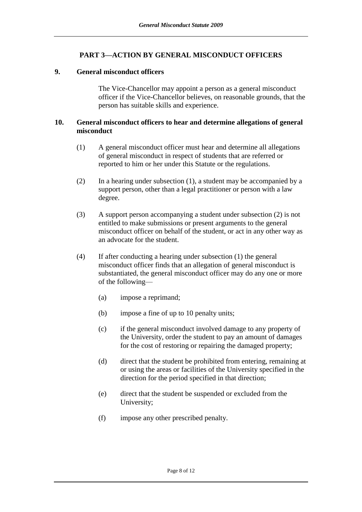# **PART 3—ACTION BY GENERAL MISCONDUCT OFFICERS**

#### **9. General misconduct officers**

The Vice-Chancellor may appoint a person as a general misconduct officer if the Vice-Chancellor believes, on reasonable grounds, that the person has suitable skills and experience.

#### **10. General misconduct officers to hear and determine allegations of general misconduct**

- (1) A general misconduct officer must hear and determine all allegations of general misconduct in respect of students that are referred or reported to him or her under this Statute or the regulations.
- (2) In a hearing under subsection (1), a student may be accompanied by a support person, other than a legal practitioner or person with a law degree.
- (3) A support person accompanying a student under subsection (2) is not entitled to make submissions or present arguments to the general misconduct officer on behalf of the student, or act in any other way as an advocate for the student.
- (4) If after conducting a hearing under subsection (1) the general misconduct officer finds that an allegation of general misconduct is substantiated, the general misconduct officer may do any one or more of the following—
	- (a) impose a reprimand;
	- (b) impose a fine of up to 10 penalty units;
	- (c) if the general misconduct involved damage to any property of the University, order the student to pay an amount of damages for the cost of restoring or repairing the damaged property;
	- (d) direct that the student be prohibited from entering, remaining at or using the areas or facilities of the University specified in the direction for the period specified in that direction;
	- (e) direct that the student be suspended or excluded from the University;
	- (f) impose any other prescribed penalty.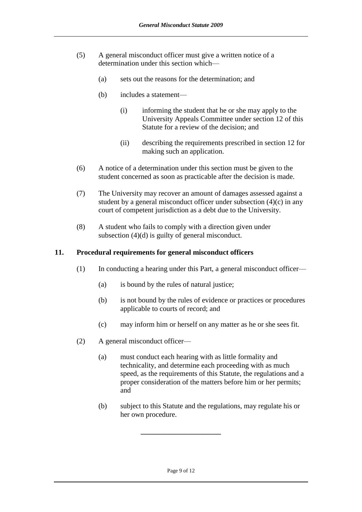- (5) A general misconduct officer must give a written notice of a determination under this section which—
	- (a) sets out the reasons for the determination; and
	- (b) includes a statement—
		- (i) informing the student that he or she may apply to the University Appeals Committee under section 12 of this Statute for a review of the decision; and
		- (ii) describing the requirements prescribed in section 12 for making such an application.
- (6) A notice of a determination under this section must be given to the student concerned as soon as practicable after the decision is made.
- (7) The University may recover an amount of damages assessed against a student by a general misconduct officer under subsection (4)(c) in any court of competent jurisdiction as a debt due to the University.
- (8) A student who fails to comply with a direction given under subsection (4)(d) is guilty of general misconduct.

#### **11. Procedural requirements for general misconduct officers**

- (1) In conducting a hearing under this Part, a general misconduct officer—
	- (a) is bound by the rules of natural justice;
	- (b) is not bound by the rules of evidence or practices or procedures applicable to courts of record; and
	- (c) may inform him or herself on any matter as he or she sees fit.
- (2) A general misconduct officer—
	- (a) must conduct each hearing with as little formality and technicality, and determine each proceeding with as much speed, as the requirements of this Statute, the regulations and a proper consideration of the matters before him or her permits; and
	- (b) subject to this Statute and the regulations, may regulate his or her own procedure.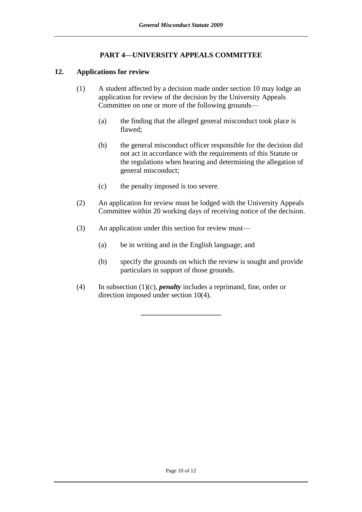# **PART 4—UNIVERSITY APPEALS COMMITTEE**

### **12. Applications for review**

- (1) A student affected by a decision made under section 10 may lodge an application for review of the decision by the University Appeals Committee on one or more of the following grounds—
	- (a) the finding that the alleged general misconduct took place is flawed;
	- (b) the general misconduct officer responsible for the decision did not act in accordance with the requirements of this Statute or the regulations when hearing and determining the allegation of general misconduct;
	- (c) the penalty imposed is too severe.
- (2) An application for review must be lodged with the University Appeals Committee within 20 working days of receiving notice of the decision.
- (3) An application under this section for review must—
	- (a) be in writing and in the English language; and
	- (b) specify the grounds on which the review is sought and provide particulars in support of those grounds.
- (4) In subsection (1)(c), *penalty* includes a reprimand, fine, order or direction imposed under section 10(4).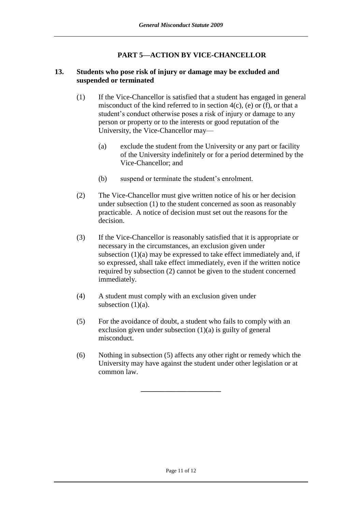# **PART 5—ACTION BY VICE-CHANCELLOR**

# **13. Students who pose risk of injury or damage may be excluded and suspended or terminated**

- (1) If the Vice-Chancellor is satisfied that a student has engaged in general misconduct of the kind referred to in section  $4(c)$ , (e) or (f), or that a student's conduct otherwise poses a risk of injury or damage to any person or property or to the interests or good reputation of the University, the Vice-Chancellor may—
	- (a) exclude the student from the University or any part or facility of the University indefinitely or for a period determined by the Vice-Chancellor; and
	- (b) suspend or terminate the student's enrolment.
- (2) The Vice-Chancellor must give written notice of his or her decision under subsection (1) to the student concerned as soon as reasonably practicable. A notice of decision must set out the reasons for the decision.
- (3) If the Vice-Chancellor is reasonably satisfied that it is appropriate or necessary in the circumstances, an exclusion given under subsection (1)(a) may be expressed to take effect immediately and, if so expressed, shall take effect immediately, even if the written notice required by subsection (2) cannot be given to the student concerned immediately.
- (4) A student must comply with an exclusion given under subsection  $(1)(a)$ .
- (5) For the avoidance of doubt, a student who fails to comply with an exclusion given under subsection  $(1)(a)$  is guilty of general misconduct.
- (6) Nothing in subsection (5) affects any other right or remedy which the University may have against the student under other legislation or at common law.